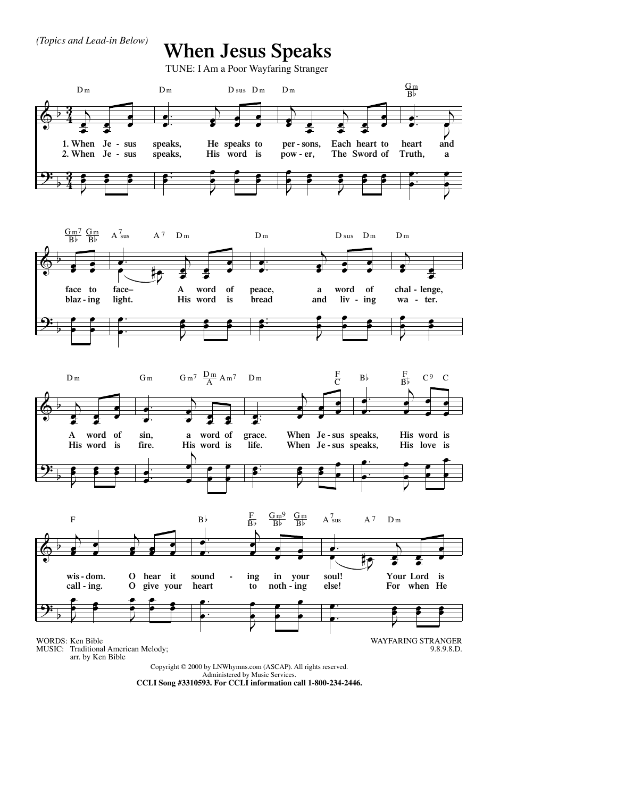*(Topics and Lead-in Below)*

## **When Jesus Speaks**

TUNE: I Am a Poor Wayfaring Stranger





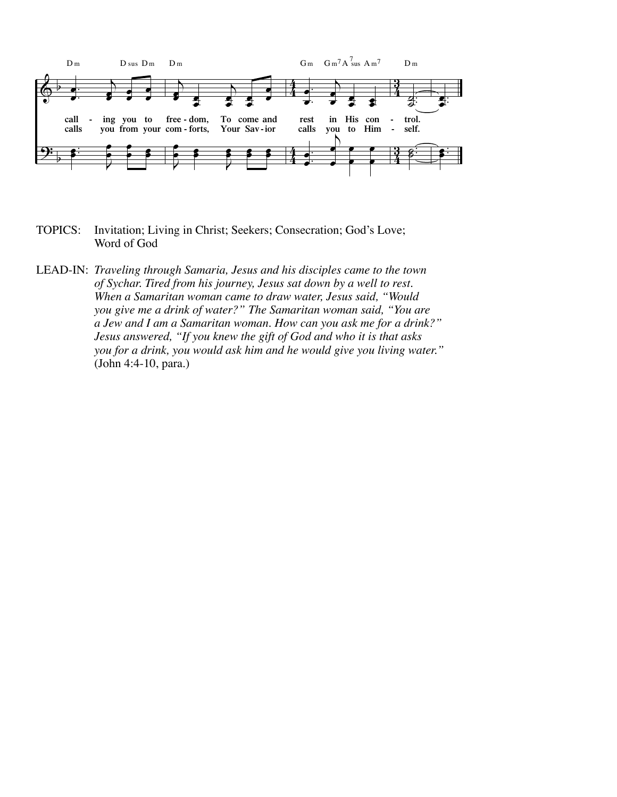

- TOPICS: Invitation; Living in Christ; Seekers; Consecration; God's Love; Word of God
- LEAD-IN: *Traveling through Samaria, Jesus and his disciples came to the town of Sychar. Tired from his journey, Jesus sat down by a well to rest. When a Samaritan woman came to draw water, Jesus said, "Would you give me a drink of water?" The Samaritan woman said, "You are a Jew and I am a Samaritan woman. How can you ask me for a drink?" Jesus answered, "If you knew the gift of God and who it is that asks you for a drink, you would ask him and he would give you living water."* (John 4:4-10, para.)